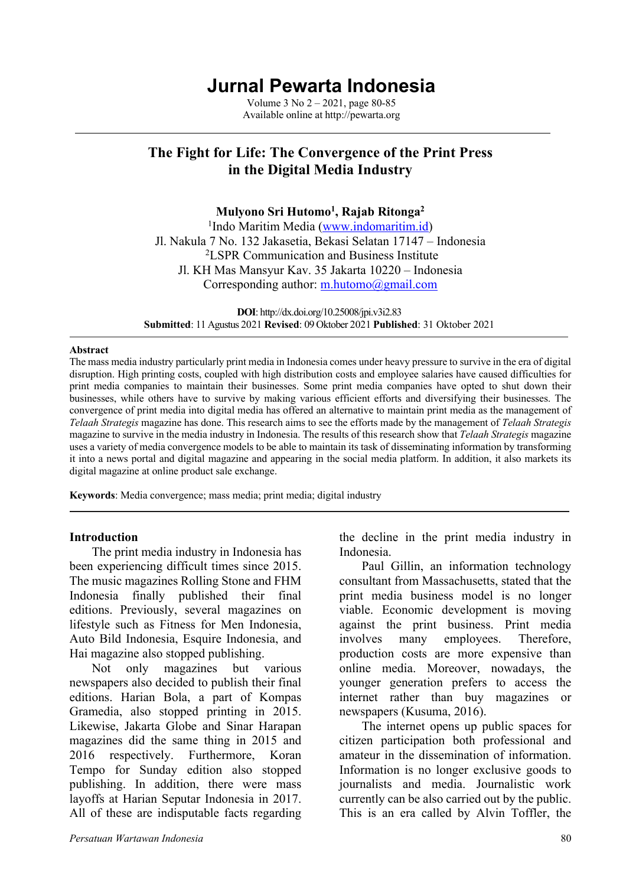# **Jurnal Pewarta Indonesia**

Volume 3 No 2 – 2021, page 80-85 Available online at http://pewarta.org

## **The Fight for Life: The Convergence of the Print Press in the Digital Media Industry**

**Mulyono Sri Hutomo1 , Rajab Ritonga2**

<sup>1</sup>Indo Maritim Media (www.indomaritim.id) Jl. Nakula 7 No. 132 Jakasetia, Bekasi Selatan 17147 – Indonesia 2 LSPR Communication and Business Institute Jl. KH Mas Mansyur Kav. 35 Jakarta 10220 – Indonesia Corresponding author: m.hutomo@gmail.com

**DOI**: http://dx.doi.org/10.25008/jpi.v3i2.83 **Submitted**: 11 Agustus 2021 **Revised**: 09 Oktober 2021 **Published**: 31 Oktober 2021

#### **Abstract**

The mass media industry particularly print media in Indonesia comes under heavy pressure to survive in the era of digital disruption. High printing costs, coupled with high distribution costs and employee salaries have caused difficulties for print media companies to maintain their businesses. Some print media companies have opted to shut down their businesses, while others have to survive by making various efficient efforts and diversifying their businesses. The convergence of print media into digital media has offered an alternative to maintain print media as the management of *Telaah Strategis* magazine has done. This research aims to see the efforts made by the management of *Telaah Strategis* magazine to survive in the media industry in Indonesia. The results of this research show that *Telaah Strategis* magazine uses a variety of media convergence models to be able to maintain its task of disseminating information by transforming it into a news portal and digital magazine and appearing in the social media platform. In addition, it also markets its digital magazine at online product sale exchange.

**Keywords**: Media convergence; mass media; print media; digital industry

#### **Introduction**

The print media industry in Indonesia has been experiencing difficult times since 2015. The music magazines Rolling Stone and FHM Indonesia finally published their final editions. Previously, several magazines on lifestyle such as Fitness for Men Indonesia, Auto Bild Indonesia, Esquire Indonesia, and Hai magazine also stopped publishing.

Not only magazines but various newspapers also decided to publish their final editions. Harian Bola, a part of Kompas Gramedia, also stopped printing in 2015. Likewise, Jakarta Globe and Sinar Harapan magazines did the same thing in 2015 and 2016 respectively. Furthermore, Koran Tempo for Sunday edition also stopped publishing. In addition, there were mass layoffs at Harian Seputar Indonesia in 2017. All of these are indisputable facts regarding

the decline in the print media industry in Indonesia.

Paul Gillin, an information technology consultant from Massachusetts, stated that the print media business model is no longer viable. Economic development is moving against the print business. Print media involves many employees. Therefore, production costs are more expensive than online media. Moreover, nowadays, the younger generation prefers to access the internet rather than buy magazines or newspapers (Kusuma, 2016).

The internet opens up public spaces for citizen participation both professional and amateur in the dissemination of information. Information is no longer exclusive goods to journalists and media. Journalistic work currently can be also carried out by the public. This is an era called by Alvin Toffler, the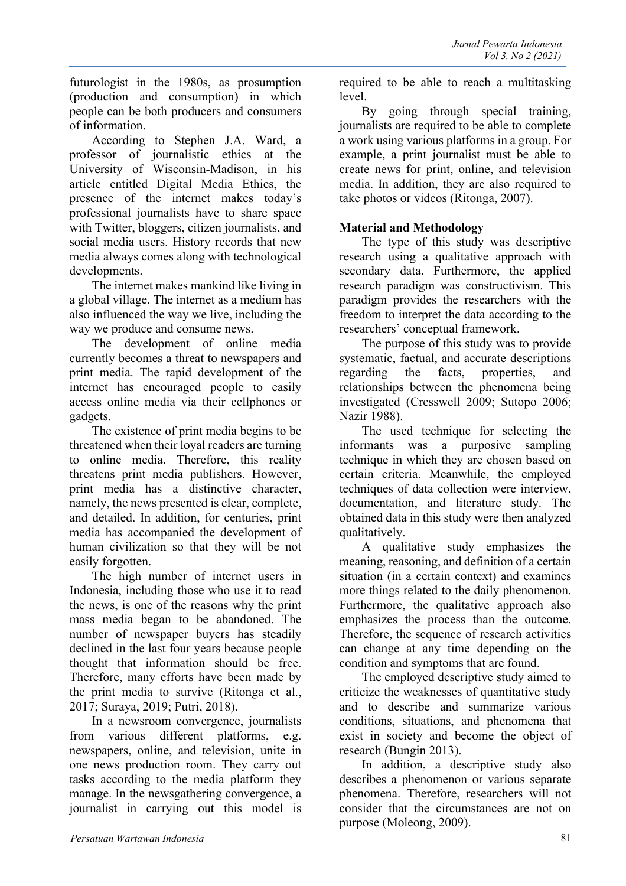futurologist in the 1980s, as prosumption (production and consumption) in which people can be both producers and consumers of information.

According to Stephen J.A. Ward, a professor of journalistic ethics at the University of Wisconsin-Madison, in his article entitled Digital Media Ethics, the presence of the internet makes today's professional journalists have to share space with Twitter, bloggers, citizen journalists, and social media users. History records that new media always comes along with technological developments.

The internet makes mankind like living in a global village. The internet as a medium has also influenced the way we live, including the way we produce and consume news.

The development of online media currently becomes a threat to newspapers and print media. The rapid development of the internet has encouraged people to easily access online media via their cellphones or gadgets.

The existence of print media begins to be threatened when their loyal readers are turning to online media. Therefore, this reality threatens print media publishers. However, print media has a distinctive character, namely, the news presented is clear, complete, and detailed. In addition, for centuries, print media has accompanied the development of human civilization so that they will be not easily forgotten.

The high number of internet users in Indonesia, including those who use it to read the news, is one of the reasons why the print mass media began to be abandoned. The number of newspaper buyers has steadily declined in the last four years because people thought that information should be free. Therefore, many efforts have been made by the print media to survive (Ritonga et al., 2017; Suraya, 2019; Putri, 2018).

In a newsroom convergence, journalists from various different platforms, e.g. newspapers, online, and television, unite in one news production room. They carry out tasks according to the media platform they manage. In the newsgathering convergence, a journalist in carrying out this model is

required to be able to reach a multitasking level.

By going through special training, journalists are required to be able to complete a work using various platforms in a group. For example, a print journalist must be able to create news for print, online, and television media. In addition, they are also required to take photos or videos (Ritonga, 2007).

### **Material and Methodology**

The type of this study was descriptive research using a qualitative approach with secondary data. Furthermore, the applied research paradigm was constructivism. This paradigm provides the researchers with the freedom to interpret the data according to the researchers' conceptual framework.

The purpose of this study was to provide systematic, factual, and accurate descriptions regarding the facts, properties, and relationships between the phenomena being investigated (Cresswell 2009; Sutopo 2006; Nazir 1988).

The used technique for selecting the informants was a purposive sampling technique in which they are chosen based on certain criteria. Meanwhile, the employed techniques of data collection were interview, documentation, and literature study. The obtained data in this study were then analyzed qualitatively.

A qualitative study emphasizes the meaning, reasoning, and definition of a certain situation (in a certain context) and examines more things related to the daily phenomenon. Furthermore, the qualitative approach also emphasizes the process than the outcome. Therefore, the sequence of research activities can change at any time depending on the condition and symptoms that are found.

The employed descriptive study aimed to criticize the weaknesses of quantitative study and to describe and summarize various conditions, situations, and phenomena that exist in society and become the object of research (Bungin 2013).

In addition, a descriptive study also describes a phenomenon or various separate phenomena. Therefore, researchers will not consider that the circumstances are not on purpose (Moleong, 2009).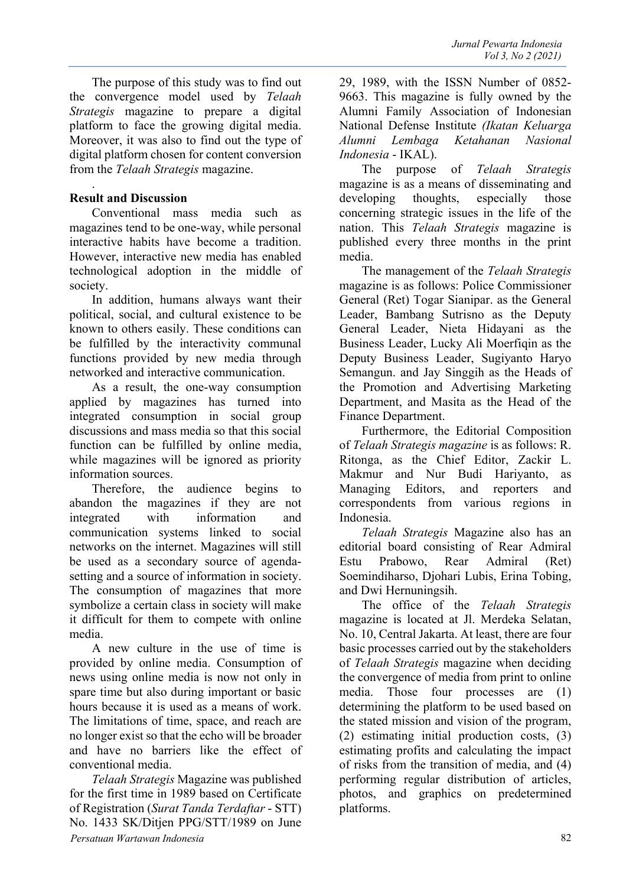The purpose of this study was to find out the convergence model used by *Telaah Strategis* magazine to prepare a digital platform to face the growing digital media. Moreover, it was also to find out the type of digital platform chosen for content conversion from the *Telaah Strategis* magazine.

#### **Result and Discussion**

.

Conventional mass media such as magazines tend to be one-way, while personal interactive habits have become a tradition. However, interactive new media has enabled technological adoption in the middle of society.

In addition, humans always want their political, social, and cultural existence to be known to others easily. These conditions can be fulfilled by the interactivity communal functions provided by new media through networked and interactive communication.

As a result, the one-way consumption applied by magazines has turned into integrated consumption in social group discussions and mass media so that this social function can be fulfilled by online media, while magazines will be ignored as priority information sources.

Therefore, the audience begins to abandon the magazines if they are not integrated with information and communication systems linked to social networks on the internet. Magazines will still be used as a secondary source of agendasetting and a source of information in society. The consumption of magazines that more symbolize a certain class in society will make it difficult for them to compete with online media.

A new culture in the use of time is provided by online media. Consumption of news using online media is now not only in spare time but also during important or basic hours because it is used as a means of work. The limitations of time, space, and reach are no longer exist so that the echo will be broader and have no barriers like the effect of conventional media.

*Persatuan Wartawan Indonesia* 82 *Telaah Strategis* Magazine was published for the first time in 1989 based on Certificate of Registration (*Surat Tanda Terdaftar* - STT) No. 1433 SK/Ditjen PPG/STT/1989 on June

29, 1989, with the ISSN Number of 0852- 9663. This magazine is fully owned by the Alumni Family Association of Indonesian National Defense Institute *(Ikatan Keluarga Alumni Lembaga Ketahanan Nasional Indonesia* - IKAL).

The purpose of *Telaah Strategis* magazine is as a means of disseminating and developing thoughts, especially those concerning strategic issues in the life of the nation. This *Telaah Strategis* magazine is published every three months in the print media.

The management of the *Telaah Strategis* magazine is as follows: Police Commissioner General (Ret) Togar Sianipar. as the General Leader, Bambang Sutrisno as the Deputy General Leader, Nieta Hidayani as the Business Leader, Lucky Ali Moerfiqin as the Deputy Business Leader, Sugiyanto Haryo Semangun. and Jay Singgih as the Heads of the Promotion and Advertising Marketing Department, and Masita as the Head of the Finance Department.

Furthermore, the Editorial Composition of *Telaah Strategis magazine* is as follows: R. Ritonga, as the Chief Editor, Zackir L. Makmur and Nur Budi Hariyanto, as Managing Editors, and reporters and correspondents from various regions in Indonesia.

*Telaah Strategis* Magazine also has an editorial board consisting of Rear Admiral Estu Prabowo, Rear Admiral (Ret) Soemindiharso, Djohari Lubis, Erina Tobing, and Dwi Hernuningsih.

The office of the *Telaah Strategis* magazine is located at Jl. Merdeka Selatan, No. 10, Central Jakarta. At least, there are four basic processes carried out by the stakeholders of *Telaah Strategis* magazine when deciding the convergence of media from print to online media. Those four processes are (1) determining the platform to be used based on the stated mission and vision of the program, (2) estimating initial production costs, (3) estimating profits and calculating the impact of risks from the transition of media, and (4) performing regular distribution of articles, photos, and graphics on predetermined platforms.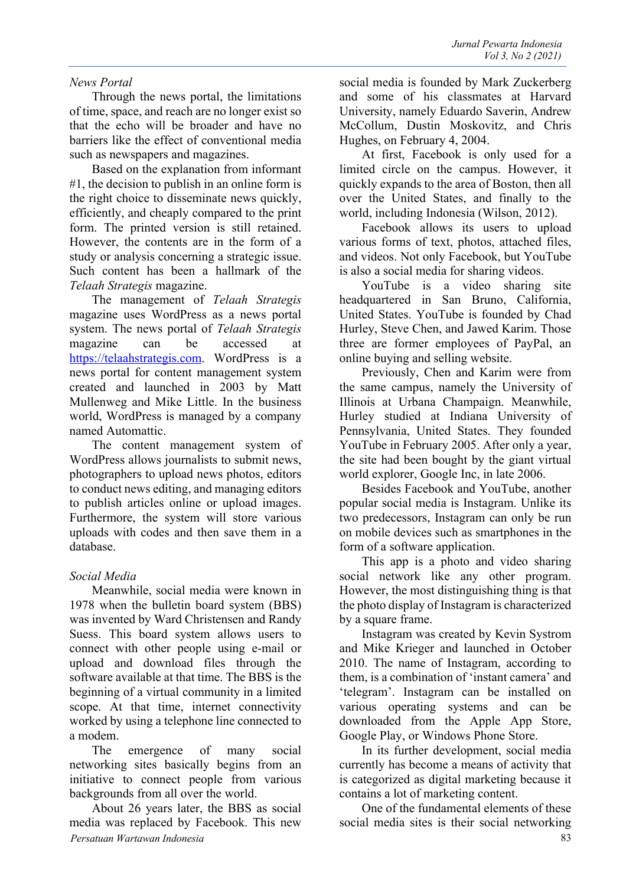#### *News Portal*

Through the news portal, the limitations of time, space, and reach are no longer exist so that the echo will be broader and have no barriers like the effect of conventional media such as newspapers and magazines.

Based on the explanation from informant #1, the decision to publish in an online form is the right choice to disseminate news quickly, efficiently, and cheaply compared to the print form. The printed version is still retained. However, the contents are in the form of a study or analysis concerning a strategic issue. Such content has been a hallmark of the *Telaah Strategis* magazine.

The management of *Telaah Strategis* magazine uses WordPress as a news portal system. The news portal of *Telaah Strategis* magazine can be accessed at https://telaahstrategis.com. WordPress is a news portal for content management system created and launched in 2003 by Matt Mullenweg and Mike Little. In the business world, WordPress is managed by a company named Automattic.

The content management system of WordPress allows journalists to submit news, photographers to upload news photos, editors to conduct news editing, and managing editors to publish articles online or upload images. Furthermore, the system will store various uploads with codes and then save them in a database.

### *Social Media*

Meanwhile, social media were known in 1978 when the bulletin board system (BBS) was invented by Ward Christensen and Randy Suess. This board system allows users to connect with other people using e-mail or upload and download files through the software available at that time. The BBS is the beginning of a virtual community in a limited scope. At that time, internet connectivity worked by using a telephone line connected to a modem.

The emergence of many social networking sites basically begins from an initiative to connect people from various backgrounds from all over the world.

*Persatuan Wartawan Indonesia* 83 About 26 years later, the BBS as social media was replaced by Facebook. This new

social media is founded by Mark Zuckerberg and some of his classmates at Harvard University, namely Eduardo Saverin, Andrew McCollum, Dustin Moskovitz, and Chris Hughes, on February 4, 2004.

At first, Facebook is only used for a limited circle on the campus. However, it quickly expands to the area of Boston, then all over the United States, and finally to the world, including Indonesia (Wilson, 2012).

Facebook allows its users to upload various forms of text, photos, attached files, and videos. Not only Facebook, but YouTube is also a social media for sharing videos.

YouTube is a video sharing site headquartered in San Bruno, California, United States. YouTube is founded by Chad Hurley, Steve Chen, and Jawed Karim. Those three are former employees of PayPal, an online buying and selling website.

Previously, Chen and Karim were from the same campus, namely the University of Illinois at Urbana Champaign. Meanwhile, Hurley studied at Indiana University of Pennsylvania, United States. They founded YouTube in February 2005. After only a year, the site had been bought by the giant virtual world explorer, Google Inc, in late 2006.

Besides Facebook and YouTube, another popular social media is Instagram. Unlike its two predecessors, Instagram can only be run on mobile devices such as smartphones in the form of a software application.

This app is a photo and video sharing social network like any other program. However, the most distinguishing thing is that the photo display of Instagram is characterized by a square frame.

Instagram was created by Kevin Systrom and Mike Krieger and launched in October 2010. The name of Instagram, according to them, is a combination of 'instant camera' and 'telegram'. Instagram can be installed on various operating systems and can be downloaded from the Apple App Store, Google Play, or Windows Phone Store.

In its further development, social media currently has become a means of activity that is categorized as digital marketing because it contains a lot of marketing content.

One of the fundamental elements of these social media sites is their social networking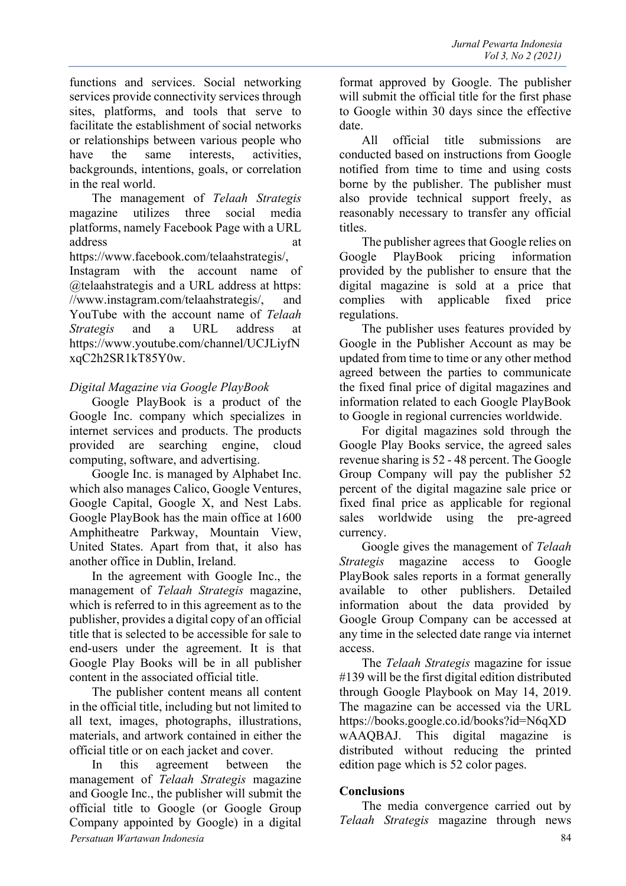functions and services. Social networking services provide connectivity services through sites, platforms, and tools that serve to facilitate the establishment of social networks or relationships between various people who have the same interests, activities, backgrounds, intentions, goals, or correlation in the real world.

The management of *Telaah Strategis* magazine utilizes three social media platforms, namely Facebook Page with a URL address at https://www.facebook.com/telaahstrategis/, Instagram with the account name of @telaahstrategis and a URL address at https: //www.instagram.com/telaahstrategis/, and YouTube with the account name of *Telaah Strategis* and a URL address at https://www.youtube.com/channel/UCJLiyfN xqC2h2SR1kT85Y0w.

#### *Digital Magazine via Google PlayBook*

Google PlayBook is a product of the Google Inc. company which specializes in internet services and products. The products provided are searching engine, cloud computing, software, and advertising.

Google Inc. is managed by Alphabet Inc. which also manages Calico, Google Ventures, Google Capital, Google X, and Nest Labs. Google PlayBook has the main office at 1600 Amphitheatre Parkway, Mountain View, United States. Apart from that, it also has another office in Dublin, Ireland.

In the agreement with Google Inc., the management of *Telaah Strategis* magazine, which is referred to in this agreement as to the publisher, provides a digital copy of an official title that is selected to be accessible for sale to end-users under the agreement. It is that Google Play Books will be in all publisher content in the associated official title.

The publisher content means all content in the official title, including but not limited to all text, images, photographs, illustrations, materials, and artwork contained in either the official title or on each jacket and cover.

*Persatuan Wartawan Indonesia* 84 In this agreement between the management of *Telaah Strategis* magazine and Google Inc., the publisher will submit the official title to Google (or Google Group Company appointed by Google) in a digital

format approved by Google. The publisher will submit the official title for the first phase to Google within 30 days since the effective date.

All official title submissions are conducted based on instructions from Google notified from time to time and using costs borne by the publisher. The publisher must also provide technical support freely, as reasonably necessary to transfer any official titles.

The publisher agrees that Google relies on Google PlayBook pricing information provided by the publisher to ensure that the digital magazine is sold at a price that complies with applicable fixed price regulations.

The publisher uses features provided by Google in the Publisher Account as may be updated from time to time or any other method agreed between the parties to communicate the fixed final price of digital magazines and information related to each Google PlayBook to Google in regional currencies worldwide.

For digital magazines sold through the Google Play Books service, the agreed sales revenue sharing is 52 - 48 percent. The Google Group Company will pay the publisher 52 percent of the digital magazine sale price or fixed final price as applicable for regional sales worldwide using the pre-agreed currency.

Google gives the management of *Telaah Strategis* magazine access to Google PlayBook sales reports in a format generally available to other publishers. Detailed information about the data provided by Google Group Company can be accessed at any time in the selected date range via internet access.

The *Telaah Strategis* magazine for issue #139 will be the first digital edition distributed through Google Playbook on May 14, 2019. The magazine can be accessed via the URL https://books.google.co.id/books?id=N6qXD wAAQBAJ. This digital magazine is distributed without reducing the printed edition page which is 52 color pages.

### **Conclusions**

The media convergence carried out by *Telaah Strategis* magazine through news